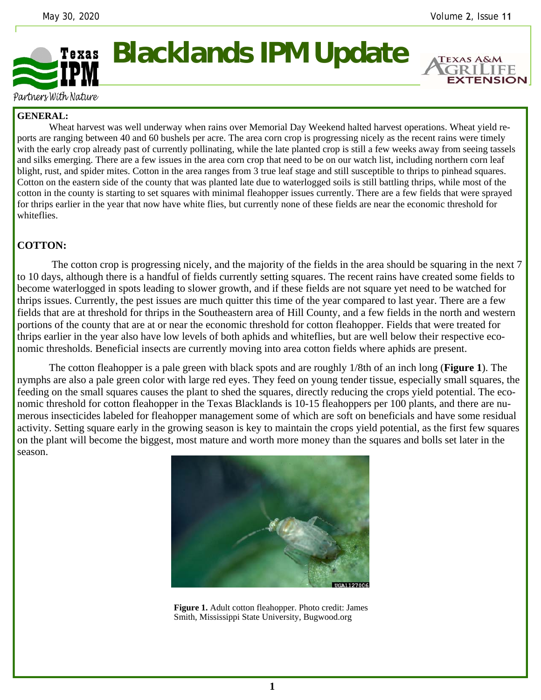**EXTENSION** 



Partners With Nature

## **GENERAL:**

 Wheat harvest was well underway when rains over Memorial Day Weekend halted harvest operations. Wheat yield reports are ranging between 40 and 60 bushels per acre. The area corn crop is progressing nicely as the recent rains were timely with the early crop already past of currently pollinating, while the late planted crop is still a few weeks away from seeing tassels and silks emerging. There are a few issues in the area corn crop that need to be on our watch list, including northern corn leaf blight, rust, and spider mites. Cotton in the area ranges from 3 true leaf stage and still susceptible to thrips to pinhead squares. Cotton on the eastern side of the county that was planted late due to waterlogged soils is still battling thrips, while most of the cotton in the county is starting to set squares with minimal fleahopper issues currently. There are a few fields that were sprayed for thrips earlier in the year that now have white flies, but currently none of these fields are near the economic threshold for whiteflies.

## **COTTON:**

 The cotton crop is progressing nicely, and the majority of the fields in the area should be squaring in the next 7 to 10 days, although there is a handful of fields currently setting squares. The recent rains have created some fields to become waterlogged in spots leading to slower growth, and if these fields are not square yet need to be watched for thrips issues. Currently, the pest issues are much quitter this time of the year compared to last year. There are a few fields that are at threshold for thrips in the Southeastern area of Hill County, and a few fields in the north and western portions of the county that are at or near the economic threshold for cotton fleahopper. Fields that were treated for thrips earlier in the year also have low levels of both aphids and whiteflies, but are well below their respective economic thresholds. Beneficial insects are currently moving into area cotton fields where aphids are present.

 The cotton fleahopper is a pale green with black spots and are roughly 1/8th of an inch long (**Figure 1**). The nymphs are also a pale green color with large red eyes. They feed on young tender tissue, especially small squares, the feeding on the small squares causes the plant to shed the squares, directly reducing the crops yield potential. The economic threshold for cotton fleahopper in the Texas Blacklands is 10-15 fleahoppers per 100 plants, and there are numerous insecticides labeled for fleahopper management some of which are soft on beneficials and have some residual activity. Setting square early in the growing season is key to maintain the crops yield potential, as the first few squares on the plant will become the biggest, most mature and worth more money than the squares and bolls set later in the season.



**Figure 1.** Adult cotton fleahopper. Photo credit: James Smith, Mississippi State University, Bugwood.org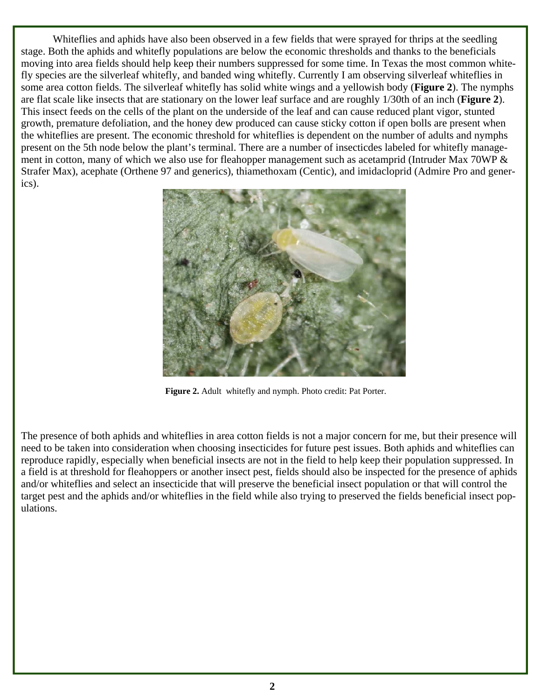Whiteflies and aphids have also been observed in a few fields that were sprayed for thrips at the seedling stage. Both the aphids and whitefly populations are below the economic thresholds and thanks to the beneficials moving into area fields should help keep their numbers suppressed for some time. In Texas the most common whitefly species are the silverleaf whitefly, and banded wing whitefly. Currently I am observing silverleaf whiteflies in some area cotton fields. The silverleaf whitefly has solid white wings and a yellowish body (**Figure 2**). The nymphs are flat scale like insects that are stationary on the lower leaf surface and are roughly 1/30th of an inch (**Figure 2**). This insect feeds on the cells of the plant on the underside of the leaf and can cause reduced plant vigor, stunted growth, premature defoliation, and the honey dew produced can cause sticky cotton if open bolls are present when the whiteflies are present. The economic threshold for whiteflies is dependent on the number of adults and nymphs present on the 5th node below the plant's terminal. There are a number of insecticdes labeled for whitefly management in cotton, many of which we also use for fleahopper management such as acetamprid (Intruder Max 70WP & Strafer Max), acephate (Orthene 97 and generics), thiamethoxam (Centic), and imidacloprid (Admire Pro and generics).



**Figure 2.** Adult whitefly and nymph. Photo credit: Pat Porter.

The presence of both aphids and whiteflies in area cotton fields is not a major concern for me, but their presence will need to be taken into consideration when choosing insecticides for future pest issues. Both aphids and whiteflies can reproduce rapidly, especially when beneficial insects are not in the field to help keep their population suppressed. In a field is at threshold for fleahoppers or another insect pest, fields should also be inspected for the presence of aphids and/or whiteflies and select an insecticide that will preserve the beneficial insect population or that will control the target pest and the aphids and/or whiteflies in the field while also trying to preserved the fields beneficial insect populations.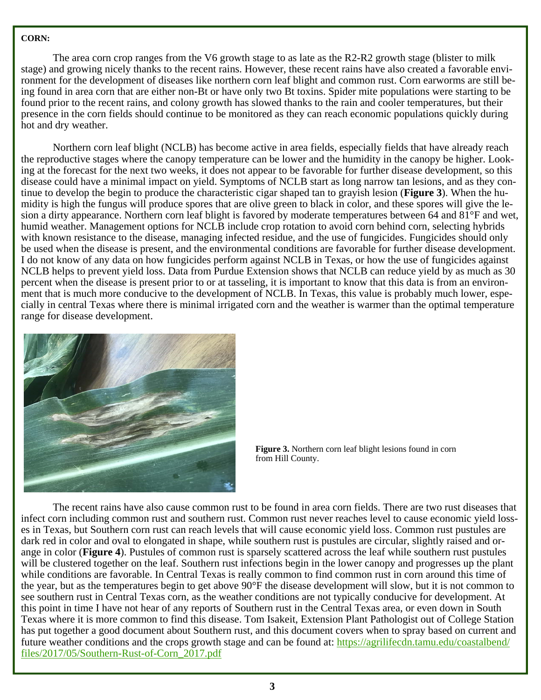## **CORN:**

The area corn crop ranges from the V6 growth stage to as late as the R2-R2 growth stage (blister to milk stage) and growing nicely thanks to the recent rains. However, these recent rains have also created a favorable environment for the development of diseases like northern corn leaf blight and common rust. Corn earworms are still being found in area corn that are either non-Bt or have only two Bt toxins. Spider mite populations were starting to be found prior to the recent rains, and colony growth has slowed thanks to the rain and cooler temperatures, but their presence in the corn fields should continue to be monitored as they can reach economic populations quickly during hot and dry weather.

 Northern corn leaf blight (NCLB) has become active in area fields, especially fields that have already reach the reproductive stages where the canopy temperature can be lower and the humidity in the canopy be higher. Looking at the forecast for the next two weeks, it does not appear to be favorable for further disease development, so this disease could have a minimal impact on yield. Symptoms of NCLB start as long narrow tan lesions, and as they continue to develop the begin to produce the characteristic cigar shaped tan to grayish lesion (**Figure 3**). When the humidity is high the fungus will produce spores that are olive green to black in color, and these spores will give the lesion a dirty appearance. Northern corn leaf blight is favored by moderate temperatures between 64 and 81°F and wet, humid weather. Management options for NCLB include crop rotation to avoid corn behind corn, selecting hybrids with known resistance to the disease, managing infected residue, and the use of fungicides. Fungicides should only be used when the disease is present, and the environmental conditions are favorable for further disease development. I do not know of any data on how fungicides perform against NCLB in Texas, or how the use of fungicides against NCLB helps to prevent yield loss. Data from Purdue Extension shows that NCLB can reduce yield by as much as 30 percent when the disease is present prior to or at tasseling, it is important to know that this data is from an environment that is much more conducive to the development of NCLB. In Texas, this value is probably much lower, especially in central Texas where there is minimal irrigated corn and the weather is warmer than the optimal temperature range for disease development.



**Figure 3.** Northern corn leaf blight lesions found in corn from Hill County.

 The recent rains have also cause common rust to be found in area corn fields. There are two rust diseases that infect corn including common rust and southern rust. Common rust never reaches level to cause economic yield losses in Texas, but Southern corn rust can reach levels that will cause economic yield loss. Common rust pustules are dark red in color and oval to elongated in shape, while southern rust is pustules are circular, slightly raised and orange in color (**Figure 4**). Pustules of common rust is sparsely scattered across the leaf while southern rust pustules will be clustered together on the leaf. Southern rust infections begin in the lower canopy and progresses up the plant while conditions are favorable. In Central Texas is really common to find common rust in corn around this time of the year, but as the temperatures begin to get above 90°F the disease development will slow, but it is not common to see southern rust in Central Texas corn, as the weather conditions are not typically conducive for development. At this point in time I have not hear of any reports of Southern rust in the Central Texas area, or even down in South Texas where it is more common to find this disease. Tom Isakeit, Extension Plant Pathologist out of College Station has put together a good document about Southern rust, and this document covers when to spray based on current and future weather conditions and the crops growth stage and can be found at: https://agrilifecdn.tamu.edu/coastalbend/ files/2017/05/Southern-Rust-of-Corn\_2017.pdf